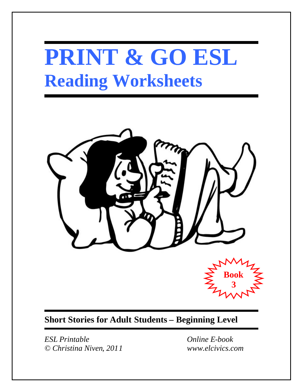# **PRINT & GO ESL Reading Worksheets**



**Short Stories for Adult Students – Beginning Level**

*ESL Printable Online E-book © Christina Niven, 2011 www.elcivics.com*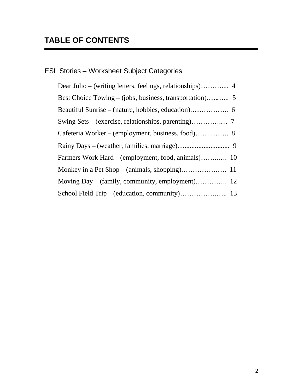# ESL Stories – Worksheet Subject Categories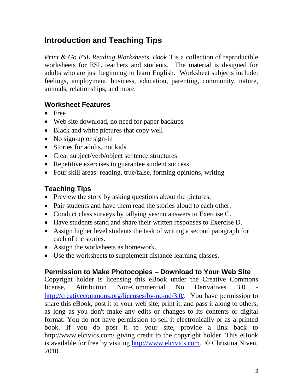## **Introduction and Teaching Tips**

*Print & Go ESL Reading Worksheets, Book 3* is a collection of reproducible worksheets for ESL teachers and students. The material is designed for adults who are just beginning to learn English. Worksheet subjects include: feelings, employment, business, education, parenting, community, nature, animals, relationships, and more.

### **Worksheet Features**

- Free
- Web site download, no need for paper backups
- Black and white pictures that copy well
- No sign-up or sign-in
- Stories for adults, not kids
- Clear subject/verb/object sentence structures
- Repetitive exercises to guarantee student success
- Four skill areas: reading, true/false, forming opinions, writing

### **Teaching Tips**

- Preview the story by asking questions about the pictures.
- Pair students and have them read the stories aloud to each other.
- Conduct class surveys by tallying yes/no answers to Exercise C.
- Have students stand and share their written responses to Exercise D.
- Assign higher level students the task of writing a second paragraph for each of the stories.
- Assign the worksheets as homework.
- Use the worksheets to supplement distance learning classes.

### **Permission to Make Photocopies – Download to Your Web Site**

Copyright holder is licensing this eBook under the Creative Commons license. Attribution Non-Commercial No Derivatives 3.0 [http://creativecommons.org/licenses/by-nc-nd/3.0/.](http://creativecommons.org/licenses/by-nc-nd/3.0/) You have permission to share this eBook, post it to your web site, print it, and pass it along to others, as long as you don't make any edits or changes to its contents or digital format. You do not have permission to sell it electronically or as a printed book. If you do post it to your site, provide a link back to http://www.elcivics.com/ giving credit to the copyright holder. This eBook is available for free by visiting [http://www.elcivics.com.](http://www.elcivics.com/) © Christina Niven, 2010.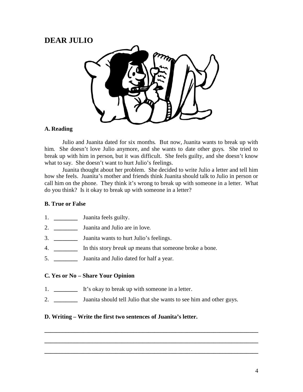### **DEAR JULIO**



### **A. Reading**

Julio and Juanita dated for six months. But now, Juanita wants to break up with him. She doesn't love Julio anymore, and she wants to date other guys. She tried to break up with him in person, but it was difficult. She feels guilty, and she doesn't know what to say. She doesn't want to hurt Julio's feelings.

Juanita thought about her problem. She decided to write Julio a letter and tell him how she feels. Juanita's mother and friends think Juanita should talk to Julio in person or call him on the phone. They think it's wrong to break up with someone in a letter. What do you think? Is it okay to break up with someone in a letter?

### **B. True or False**

- 1. **Juanita feels guilty.**
- 2. **\_\_\_\_\_\_\_\_** Juanita and Julio are in love.
- 3. **\_\_\_\_\_\_\_\_** Juanita wants to hurt Julio's feelings.
- 4. **\_\_\_\_\_\_\_\_** In this story *break up* means that someone broke a bone.
- 5. **\_\_\_\_\_\_\_\_** Juanita and Julio dated for half a year.

### **C. Yes or No – Share Your Opinion**

- 1. **\_\_\_\_\_\_\_\_** It's okay to break up with someone in a letter.
- 2. **\_\_\_\_\_\_\_\_** Juanita should tell Julio that she wants to see him and other guys.

**\_\_\_\_\_\_\_\_\_\_\_\_\_\_\_\_\_\_\_\_\_\_\_\_\_\_\_\_\_\_\_\_\_\_\_\_\_\_\_\_\_\_\_\_\_\_\_\_\_\_\_\_\_\_\_\_\_\_\_\_\_\_\_\_\_\_\_\_\_\_\_\_**

**\_\_\_\_\_\_\_\_\_\_\_\_\_\_\_\_\_\_\_\_\_\_\_\_\_\_\_\_\_\_\_\_\_\_\_\_\_\_\_\_\_\_\_\_\_\_\_\_\_\_\_\_\_\_\_\_\_\_\_\_\_\_\_\_\_\_\_\_\_\_\_\_**

**\_\_\_\_\_\_\_\_\_\_\_\_\_\_\_\_\_\_\_\_\_\_\_\_\_\_\_\_\_\_\_\_\_\_\_\_\_\_\_\_\_\_\_\_\_\_\_\_\_\_\_\_\_\_\_\_\_\_\_\_\_\_\_\_\_\_\_\_\_\_\_\_**

### **D. Writing – Write the first two sentences of Juanita's letter.**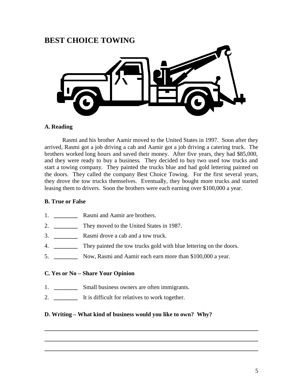### **BEST CHOICE TOWING**



### **A. Reading**

Rasmi and his brother Aamir moved to the United States in 1997. Soon after they arrived, Rasmi got a job driving a cab and Aamir got a job driving a catering truck. The brothers worked long hours and saved their money. After five years, they had \$85,000, and they were ready to buy a business. They decided to buy two used tow trucks and start a towing company. They painted the trucks blue and had gold lettering painted on the doors. They called the company Best Choice Towing. For the first several years, they drove the tow trucks themselves. Eventually, they bought more trucks and started leasing them to drivers. Soon the brothers were each earning over \$100,000 a year.

### **B. True or False**

- 1. **\_\_\_\_\_\_\_\_** Rasmi and Aamir are brothers.
- 2. **\_\_\_\_\_\_\_\_** They moved to the United States in 1987.
- 3. **\_\_\_\_\_\_\_\_** Rasmi drove a cab and a tow truck.
- 4. **\_\_\_\_\_\_\_\_** They painted the tow trucks gold with blue lettering on the doors.
- 5. **\_\_\_\_\_\_\_\_** Now, Rasmi and Aamir each earn more than \$100,000 a year.

### **C. Yes or No – Share Your Opinion**

- 1. **\_\_\_\_\_\_\_\_** Small business owners are often immigrants.
- 2. **\_\_\_\_\_\_\_\_** It is difficult for relatives to work together.

### **D. Writing – What kind of business would you like to own? Why?**

**\_\_\_\_\_\_\_\_\_\_\_\_\_\_\_\_\_\_\_\_\_\_\_\_\_\_\_\_\_\_\_\_\_\_\_\_\_\_\_\_\_\_\_\_\_\_\_\_\_\_\_\_\_\_\_\_\_\_\_\_\_\_\_\_\_\_\_\_\_\_\_\_**

**\_\_\_\_\_\_\_\_\_\_\_\_\_\_\_\_\_\_\_\_\_\_\_\_\_\_\_\_\_\_\_\_\_\_\_\_\_\_\_\_\_\_\_\_\_\_\_\_\_\_\_\_\_\_\_\_\_\_\_\_\_\_\_\_\_\_\_\_\_\_\_\_**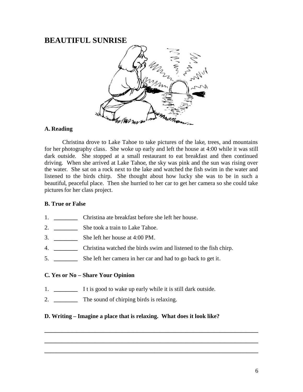### **BEAUTIFUL SUNRISE**



### **A. Reading**

Christina drove to Lake Tahoe to take pictures of the lake, trees, and mountains for her photography class. She woke up early and left the house at 4:00 while it was still dark outside. She stopped at a small restaurant to eat breakfast and then continued driving. When she arrived at Lake Tahoe, the sky was pink and the sun was rising over the water. She sat on a rock next to the lake and watched the fish swim in the water and listened to the birds chirp. She thought about how lucky she was to be in such a beautiful, peaceful place. Then she hurried to her car to get her camera so she could take pictures for her class project.

### **B. True or False**

- 1. **\_\_\_\_\_\_\_\_** Christina ate breakfast before she left her house.
- 2. **\_\_\_\_\_\_\_\_** She took a train to Lake Tahoe.
- 3. **\_\_\_\_\_\_\_\_** She left her house at 4:00 PM.
- 4. **\_\_\_\_\_\_\_\_** Christina watched the birds swim and listened to the fish chirp.
- 5. **\_\_\_\_\_\_\_\_** She left her camera in her car and had to go back to get it.

### **C. Yes or No – Share Your Opinion**

- 1. **\_\_\_\_\_\_\_\_** I t is good to wake up early while it is still dark outside.
- 2. **\_\_\_\_\_\_\_\_** The sound of chirping birds is relaxing.

### **D. Writing – Imagine a place that is relaxing. What does it look like?**

**\_\_\_\_\_\_\_\_\_\_\_\_\_\_\_\_\_\_\_\_\_\_\_\_\_\_\_\_\_\_\_\_\_\_\_\_\_\_\_\_\_\_\_\_\_\_\_\_\_\_\_\_\_\_\_\_\_\_\_\_\_\_\_\_\_\_\_\_\_\_\_\_**

**\_\_\_\_\_\_\_\_\_\_\_\_\_\_\_\_\_\_\_\_\_\_\_\_\_\_\_\_\_\_\_\_\_\_\_\_\_\_\_\_\_\_\_\_\_\_\_\_\_\_\_\_\_\_\_\_\_\_\_\_\_\_\_\_\_\_\_\_\_\_\_\_**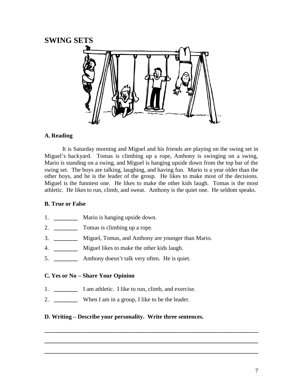### **SWING SETS**



### **A. Reading**

It is Saturday morning and Miguel and his friends are playing on the swing set in Miguel's backyard. Tomas is climbing up a rope, Anthony is swinging on a swing, Mario is standing on a swing, and Miguel is hanging upside down from the top bar of the swing set. The boys are talking, laughing, and having fun. Mario is a year older than the other boys, and he is the leader of the group. He likes to make most of the decisions. Miguel is the funniest one. He likes to make the other kids laugh. Tomas is the most athletic. He likes to run, climb, and sweat. Anthony is the quiet one. He seldom speaks.

### **B. True or False**

- 1. **Mario is hanging upside down.**
- 2. **\_\_\_\_\_\_\_\_** Tomas is climbing up a rope.
- 3. **\_\_\_\_\_\_\_\_** Miguel, Tomas, and Anthony are younger than Mario.
- 4. **\_\_\_\_\_\_\_\_** Miguel likes to make the other kids laugh.
- 5. **\_\_\_\_\_\_\_\_** Anthony doesn't talk very often. He is quiet.

### **C. Yes or No – Share Your Opinion**

- 1. **\_\_\_\_\_\_\_\_** I am athletic. I like to run, climb, and exercise.
- 2. **\_\_\_\_\_\_\_\_** When I am in a group, I like to be the leader.

### **D. Writing – Describe your personality. Write three sentences.**

**\_\_\_\_\_\_\_\_\_\_\_\_\_\_\_\_\_\_\_\_\_\_\_\_\_\_\_\_\_\_\_\_\_\_\_\_\_\_\_\_\_\_\_\_\_\_\_\_\_\_\_\_\_\_\_\_\_\_\_\_\_\_\_\_\_\_\_\_\_\_\_\_**

**\_\_\_\_\_\_\_\_\_\_\_\_\_\_\_\_\_\_\_\_\_\_\_\_\_\_\_\_\_\_\_\_\_\_\_\_\_\_\_\_\_\_\_\_\_\_\_\_\_\_\_\_\_\_\_\_\_\_\_\_\_\_\_\_\_\_\_\_\_\_\_\_**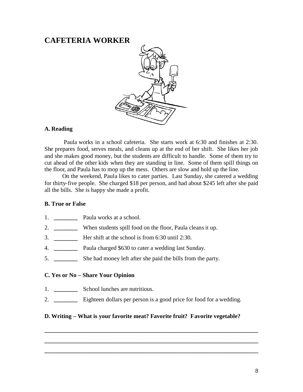### **CAFETERIA WORKER**



### **A. Reading**

Paula works in a school cafeteria. She starts work at 6:30 and finishes at 2:30. She prepares food, serves meals, and cleans up at the end of her shift. She likes her job and she makes good money, but the students are difficult to handle. Some of them try to cut ahead of the other kids when they are standing in line. Some of them spill things on the floor, and Paula has to mop up the mess. Others are slow and hold up the line.

On the weekend, Paula likes to cater parties. Last Sunday, she catered a wedding for thirty-five people. She charged \$18 per person, and had about \$245 left after she paid all the bills. She is happy she made a profit.

#### **B. True or False**

- 1. **\_\_\_\_\_\_\_\_** Paula works at a school.
- 2. **\_\_\_\_\_\_\_\_** When students spill food on the floor, Paula cleansit up.
- 3. **\_\_\_\_\_\_\_\_** Her shift at the school is from 6:30 until 2:30.
- 4. **\_\_\_\_\_\_\_\_** Paula charged \$630 to cater a wedding last Sunday.
- 5. **\_\_\_\_\_\_\_\_** She had money left after she paid the bills from the party.

### **C. Yes or No – Share Your Opinion**

- 1. **\_\_\_\_\_\_\_\_** School lunches are nutritious.
- 2. **\_\_\_\_\_\_\_\_** Eighteen dollars per person is a good price for food for a wedding.

#### **D. Writing – What is your favorite meat? Favorite fruit? Favorite vegetable?**

**\_\_\_\_\_\_\_\_\_\_\_\_\_\_\_\_\_\_\_\_\_\_\_\_\_\_\_\_\_\_\_\_\_\_\_\_\_\_\_\_\_\_\_\_\_\_\_\_\_\_\_\_\_\_\_\_\_\_\_\_\_\_\_\_\_\_\_\_\_\_\_\_**

**\_\_\_\_\_\_\_\_\_\_\_\_\_\_\_\_\_\_\_\_\_\_\_\_\_\_\_\_\_\_\_\_\_\_\_\_\_\_\_\_\_\_\_\_\_\_\_\_\_\_\_\_\_\_\_\_\_\_\_\_\_\_\_\_\_\_\_\_\_\_\_\_**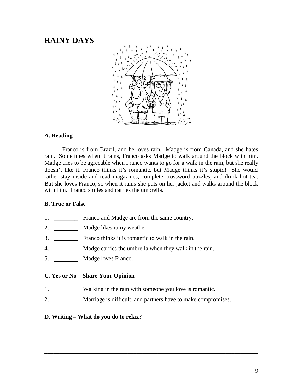### **RAINY DAYS**



### **A. Reading**

Franco is from Brazil, and he loves rain. Madge is from Canada, and she hates rain. Sometimes when it rains, Franco asks Madge to walk around the block with him. Madge tries to be agreeable when Franco wants to go for a walk in the rain, but she really doesn't like it. Franco thinks it's romantic, but Madge thinks it's stupid! She would rather stay inside and read magazines, complete crossword puzzles, and drink hot tea. But she loves Franco, so when it rains she puts on her jacket and walks around the block with him. Franco smiles and carries the umbrella.

### **B. True or False**

- 1. **\_\_\_\_\_\_\_\_** Franco and Madge are from the same country.
- 2. **\_\_\_\_\_\_\_\_** Madge likes rainy weather.
- 3. **\_\_\_\_\_\_\_\_** Franco thinks it is romantic to walk in the rain.
- 4. **\_\_\_\_\_\_\_\_** Madge carries the umbrella when they walk in the rain.
- 5. **\_\_\_\_\_\_\_\_** Madge loves Franco.

### **C. Yes or No – Share Your Opinion**

- 1. **\_\_\_\_\_\_\_\_** Walking in the rain with someone you love is romantic.
- 2. **\_\_\_\_\_\_\_\_** Marriage is difficult, and partners have to make compromises.

**\_\_\_\_\_\_\_\_\_\_\_\_\_\_\_\_\_\_\_\_\_\_\_\_\_\_\_\_\_\_\_\_\_\_\_\_\_\_\_\_\_\_\_\_\_\_\_\_\_\_\_\_\_\_\_\_\_\_\_\_\_\_\_\_\_\_\_\_\_\_\_\_**

**\_\_\_\_\_\_\_\_\_\_\_\_\_\_\_\_\_\_\_\_\_\_\_\_\_\_\_\_\_\_\_\_\_\_\_\_\_\_\_\_\_\_\_\_\_\_\_\_\_\_\_\_\_\_\_\_\_\_\_\_\_\_\_\_\_\_\_\_\_\_\_\_**

**\_\_\_\_\_\_\_\_\_\_\_\_\_\_\_\_\_\_\_\_\_\_\_\_\_\_\_\_\_\_\_\_\_\_\_\_\_\_\_\_\_\_\_\_\_\_\_\_\_\_\_\_\_\_\_\_\_\_\_\_\_\_\_\_\_\_\_\_\_\_\_\_**

### **D. Writing – What do you do to relax?**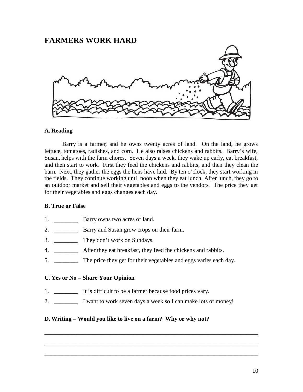### **FARMERS WORK HARD**



### **A. Reading**

Barry is a farmer, and he owns twenty acres of land. On the land, he grows lettuce, tomatoes, radishes, and corn. He also raises chickens and rabbits. Barry's wife, Susan, helps with the farm chores. Seven days a week, they wake up early, eat breakfast, and then start to work. First they feed the chickens and rabbits, and then they clean the barn. Next, they gather the eggs the hens have laid. By ten o'clock, they start working in the fields. They continue working until noon when they eat lunch. After lunch, they go to an outdoor market and sell their vegetables and eggs to the vendors. The price they get for their vegetables and eggs changes each day.

#### **B. True or False**

- 1. **Barry owns two acres of land.**
- 2. **\_\_\_\_\_\_\_\_** Barry and Susan grow crops on their farm.
- 3. **\_\_\_\_\_\_\_\_** They don't work on Sundays.
- 4. **\_\_\_\_\_\_\_\_** After they eat breakfast, they feed the chickens and rabbits.
- 5. **\_\_\_\_\_\_\_\_** The price they get for their vegetables and eggs varies each day.

### **C. Yes or No – Share Your Opinion**

- 1. **\_\_\_\_\_\_\_\_** It is difficult to be a farmer because food prices vary.
- 2. **\_\_\_\_\_\_\_\_** I want to work seven days a week so I can make lots of money!

**\_\_\_\_\_\_\_\_\_\_\_\_\_\_\_\_\_\_\_\_\_\_\_\_\_\_\_\_\_\_\_\_\_\_\_\_\_\_\_\_\_\_\_\_\_\_\_\_\_\_\_\_\_\_\_\_\_\_\_\_\_\_\_\_\_\_\_\_\_\_\_\_**

**\_\_\_\_\_\_\_\_\_\_\_\_\_\_\_\_\_\_\_\_\_\_\_\_\_\_\_\_\_\_\_\_\_\_\_\_\_\_\_\_\_\_\_\_\_\_\_\_\_\_\_\_\_\_\_\_\_\_\_\_\_\_\_\_\_\_\_\_\_\_\_\_**

**\_\_\_\_\_\_\_\_\_\_\_\_\_\_\_\_\_\_\_\_\_\_\_\_\_\_\_\_\_\_\_\_\_\_\_\_\_\_\_\_\_\_\_\_\_\_\_\_\_\_\_\_\_\_\_\_\_\_\_\_\_\_\_\_\_\_\_\_\_\_\_\_**

#### **D. Writing – Would you like to live on a farm? Why or why not?**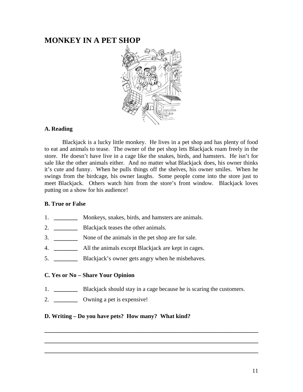### **MONKEY IN A PET SHOP**



### **A. Reading**

Blackjack is a lucky little monkey. He lives in a pet shop and has plenty of food to eat and animals to tease. The owner of the pet shop lets Blackjack roam freely in the store. He doesn't have live in a cage like the snakes, birds, and hamsters. He isn't for sale like the other animals either. And no matter what Blackjack does, his owner thinks it's cute and funny. When he pulls things off the shelves, his owner smiles. When he swings from the birdcage, his owner laughs. Some people come into the store just to meet Blackjack. Others watch him from the store's front window. Blackjack loves putting on a show for his audience!

### **B. True or False**

- 1. **\_\_\_\_\_\_\_\_** Monkeys, snakes, birds, and hamsters are animals.
- 2. **\_\_\_\_\_\_\_\_** Blackjack teases the other animals.
- 3. **\_\_\_\_\_\_\_\_** None of the animals in the pet shop are for sale.
- 4. **\_\_\_\_\_\_\_\_** All the animals except Blackjack are kept in cages.
- 5. **\_\_\_\_\_\_\_\_** Blackjack's owner gets angry when he misbehaves.

### **C. Yes or No – Share Your Opinion**

1. **\_\_\_\_\_\_\_\_** Blackjack should stay in a cage because he is scaring the customers.

**\_\_\_\_\_\_\_\_\_\_\_\_\_\_\_\_\_\_\_\_\_\_\_\_\_\_\_\_\_\_\_\_\_\_\_\_\_\_\_\_\_\_\_\_\_\_\_\_\_\_\_\_\_\_\_\_\_\_\_\_\_\_\_\_\_\_\_\_\_\_\_\_**

**\_\_\_\_\_\_\_\_\_\_\_\_\_\_\_\_\_\_\_\_\_\_\_\_\_\_\_\_\_\_\_\_\_\_\_\_\_\_\_\_\_\_\_\_\_\_\_\_\_\_\_\_\_\_\_\_\_\_\_\_\_\_\_\_\_\_\_\_\_\_\_\_**

**\_\_\_\_\_\_\_\_\_\_\_\_\_\_\_\_\_\_\_\_\_\_\_\_\_\_\_\_\_\_\_\_\_\_\_\_\_\_\_\_\_\_\_\_\_\_\_\_\_\_\_\_\_\_\_\_\_\_\_\_\_\_\_\_\_\_\_\_\_\_\_\_**

2. **\_\_\_\_\_\_\_\_** Owning a pet is expensive!

### **D. Writing – Do you have pets? How many? What kind?**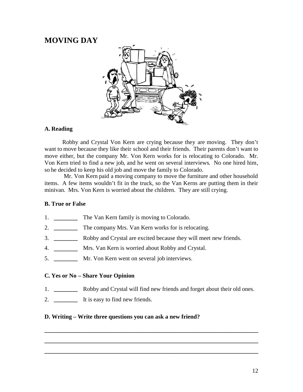### **MOVING DAY**



### **A. Reading**

Robby and Crystal Von Kern are crying because they are moving. They don't want to move because they like their school and their friends. Their parents don't want to move either, but the company Mr. Von Kern works for is relocating to Colorado. Mr. Von Kern tried to find a new job, and he went on several interviews. No one hired him, so he decided to keep his old job and move the family to Colorado.

Mr. Von Kern paid a moving company to move the furniture and other household items. A few items wouldn't fit in the truck, so the Van Kerns are putting them in their minivan. Mrs. Von Kern is worried about the children. They are still crying.

### **B. True or False**

- 1. The Van Kern family is moving to Colorado.
- 2. **\_\_\_\_\_\_\_\_** The company Mrs. Van Kern works for is relocating.
- 3. **\_\_\_\_\_\_\_\_** Robby and Crystal are excited because they will meet new friends.
- 4. **\_\_\_\_\_\_\_\_** Mrs. Van Kern is worried about Robby and Crystal.
- 5. **\_\_\_\_\_\_\_\_** Mr. Von Kern went on several job interviews.

### **C. Yes or No – Share Your Opinion**

1. **\_\_\_\_\_\_\_\_** Robby and Crystal will find new friends and forget about their old ones.

**\_\_\_\_\_\_\_\_\_\_\_\_\_\_\_\_\_\_\_\_\_\_\_\_\_\_\_\_\_\_\_\_\_\_\_\_\_\_\_\_\_\_\_\_\_\_\_\_\_\_\_\_\_\_\_\_\_\_\_\_\_\_\_\_\_\_\_\_\_\_\_\_**

**\_\_\_\_\_\_\_\_\_\_\_\_\_\_\_\_\_\_\_\_\_\_\_\_\_\_\_\_\_\_\_\_\_\_\_\_\_\_\_\_\_\_\_\_\_\_\_\_\_\_\_\_\_\_\_\_\_\_\_\_\_\_\_\_\_\_\_\_\_\_\_\_**

**\_\_\_\_\_\_\_\_\_\_\_\_\_\_\_\_\_\_\_\_\_\_\_\_\_\_\_\_\_\_\_\_\_\_\_\_\_\_\_\_\_\_\_\_\_\_\_\_\_\_\_\_\_\_\_\_\_\_\_\_\_\_\_\_\_\_\_\_\_\_\_\_**

2. **\_\_\_\_\_\_\_\_** It is easy to find new friends.

### **D. Writing – Write three questions you can ask a new friend?**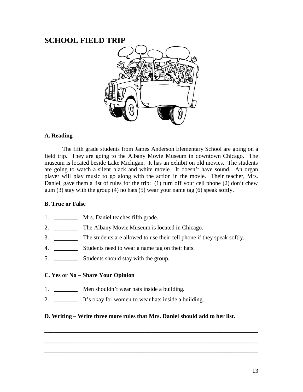### **SCHOOL FIELD TRIP**



### **A. Reading**

The fifth grade students from James Anderson Elementary School are going on a field trip. They are going to the Albany Movie Museum in downtown Chicago. The museum is located beside Lake Michigan. It has an exhibit on old movies. The students are going to watch a silent black and white movie. It doesn't have sound. An organ player will play music to go along with the action in the movie. Their teacher, Mrs. Daniel, gave them a list of rules for the trip: (1) turn off your cell phone (2) don't chew gum  $(3)$  stay with the group  $(4)$  no hats  $(5)$  wear your name tag  $(6)$  speak softly.

#### **B. True or False**

- 1. **\_\_\_\_\_\_\_\_** Mrs. Daniel teaches fifth grade.
- 2. **\_\_\_\_\_\_\_\_** The Albany Movie Museum is located in Chicago.
- 3. **\_\_\_\_\_\_\_\_** The students are allowed to use their cell phone if they speak softly.
- 4. **\_\_\_\_\_\_\_\_** Students need to wear a name tag on their hats.
- 5. **\_\_\_\_\_\_\_\_** Students should stay with the group.

### **C. Yes or No – Share Your Opinion**

- 1. **\_\_\_\_\_\_\_\_** Men shouldn't wear hats inside a building.
- 2. **\_\_\_\_\_\_\_\_** It's okay for women to wear hats inside a building.

### **D. Writing – Write three more rules that Mrs. Daniel should add to her list.**

**\_\_\_\_\_\_\_\_\_\_\_\_\_\_\_\_\_\_\_\_\_\_\_\_\_\_\_\_\_\_\_\_\_\_\_\_\_\_\_\_\_\_\_\_\_\_\_\_\_\_\_\_\_\_\_\_\_\_\_\_\_\_\_\_\_\_\_\_\_\_\_\_**

**\_\_\_\_\_\_\_\_\_\_\_\_\_\_\_\_\_\_\_\_\_\_\_\_\_\_\_\_\_\_\_\_\_\_\_\_\_\_\_\_\_\_\_\_\_\_\_\_\_\_\_\_\_\_\_\_\_\_\_\_\_\_\_\_\_\_\_\_\_\_\_\_**